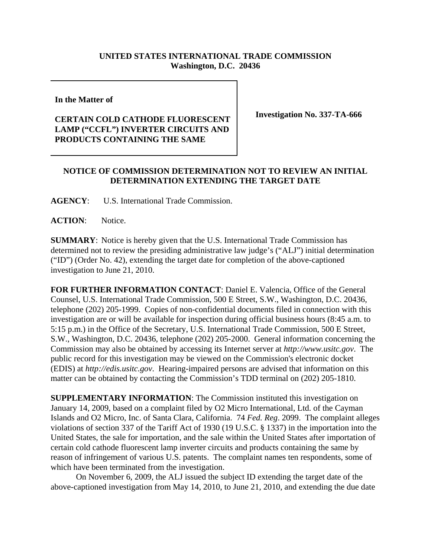## **UNITED STATES INTERNATIONAL TRADE COMMISSION Washington, D.C. 20436**

**In the Matter of** 

## **CERTAIN COLD CATHODE FLUORESCENT LAMP ("CCFL") INVERTER CIRCUITS AND PRODUCTS CONTAINING THE SAME**

**Investigation No. 337-TA-666**

## **NOTICE OF COMMISSION DETERMINATION NOT TO REVIEW AN INITIAL DETERMINATION EXTENDING THE TARGET DATE**

**AGENCY**: U.S. International Trade Commission.

ACTION: Notice.

**SUMMARY**: Notice is hereby given that the U.S. International Trade Commission has determined not to review the presiding administrative law judge's ("ALJ") initial determination ("ID") (Order No. 42), extending the target date for completion of the above-captioned investigation to June 21, 2010.

**FOR FURTHER INFORMATION CONTACT**: Daniel E. Valencia, Office of the General Counsel, U.S. International Trade Commission, 500 E Street, S.W., Washington, D.C. 20436, telephone (202) 205-1999. Copies of non-confidential documents filed in connection with this investigation are or will be available for inspection during official business hours (8:45 a.m. to 5:15 p.m.) in the Office of the Secretary, U.S. International Trade Commission, 500 E Street, S.W., Washington, D.C. 20436, telephone (202) 205-2000. General information concerning the Commission may also be obtained by accessing its Internet server at *http://www.usitc.gov*. The public record for this investigation may be viewed on the Commission's electronic docket (EDIS) at *http://edis.usitc.gov*. Hearing-impaired persons are advised that information on this matter can be obtained by contacting the Commission's TDD terminal on (202) 205-1810.

**SUPPLEMENTARY INFORMATION**: The Commission instituted this investigation on January 14, 2009, based on a complaint filed by O2 Micro International, Ltd. of the Cayman Islands and O2 Micro, Inc. of Santa Clara, California. 74 *Fed. Reg*. 2099. The complaint alleges violations of section 337 of the Tariff Act of 1930 (19 U.S.C. § 1337) in the importation into the United States, the sale for importation, and the sale within the United States after importation of certain cold cathode fluorescent lamp inverter circuits and products containing the same by reason of infringement of various U.S. patents. The complaint names ten respondents, some of which have been terminated from the investigation.

On November 6, 2009, the ALJ issued the subject ID extending the target date of the above-captioned investigation from May 14, 2010, to June 21, 2010, and extending the due date